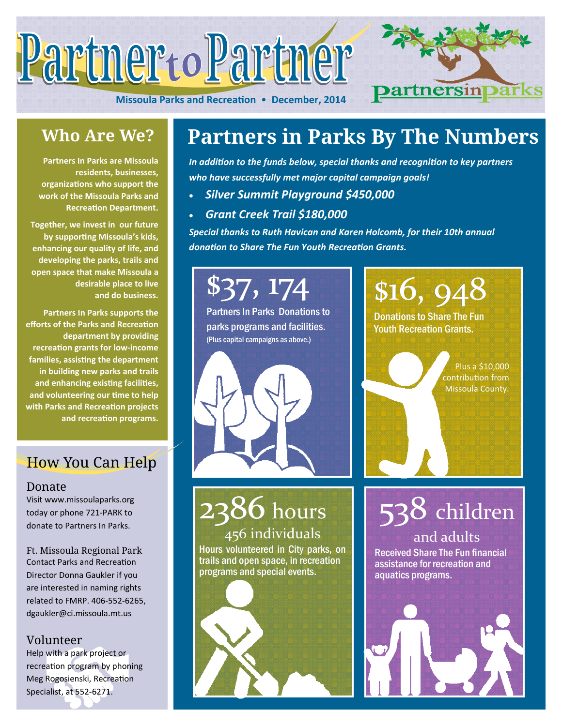

**Missoula Parks and RecreaƟon** • **December, 2014** 



### **Who Are We?**

**Partners In Parks are Missoula residents, businesses, organizaƟons who support the work of the Missoula Parks and RecreaƟon Department.** 

**Together, we invest in our future by supporƟng Missoula's kids, enhancing our quality of life, and developing the parks, trails and open space that make Missoula a desirable place to live and do business.** 

**Partners In Parks supports the efforts of the Parks and Recreation department by providing recreaƟon grants for low‐income families, assisƟng the department in building new parks and trails and enhancing exisƟng faciliƟes, and volunteering our Ɵme to help with Parks and RecreaƟon projects and recreaƟon programs.** 

### How You Can Help

### Donate

Visit www.missoulaparks.org today or phone 721‐PARK to donate to Partners In Parks.

Ft. Missoula Regional Park Contact Parks and Recreation Director Donna Gaukler if you are interested in naming rights related to FMRP. 406‐552‐6265, dgaukler@ci.missoula.mt.us

### Volunteer

Help with a park project or recreation program by phoning Meg Rogosienski, Recreation Specialist, at 552‐6271.

### **Partners in Parks By The Numbers**

*In addiƟon to the funds below, special thanks and recogniƟon to key partners who have successfully met major capital campaign goals!* 

- *Silver Summit Playground \$450,000*
- *Grant Creek Trail \$180,000*

*Special thanks to Ruth Havican and Karen Holcomb, for their 10th annual donaƟon to Share The Fun Youth RecreaƟon Grants.* 

# \$37, 174

Partners In Parks Donations to parks programs and facilities. (Plus capital campaigns as above.)



# **2386** hours

456 individuals Hours volunteered in City parks, on trails and open space, in recreation programs and special events.

\$16, 948 Donations to Share The Fun Youth Recreation Grants.

> Plus a \$10,000 contribuƟon from Missoula County.

538 children

and adults Received Share The Fun financial assistance for recreation and aquatics programs.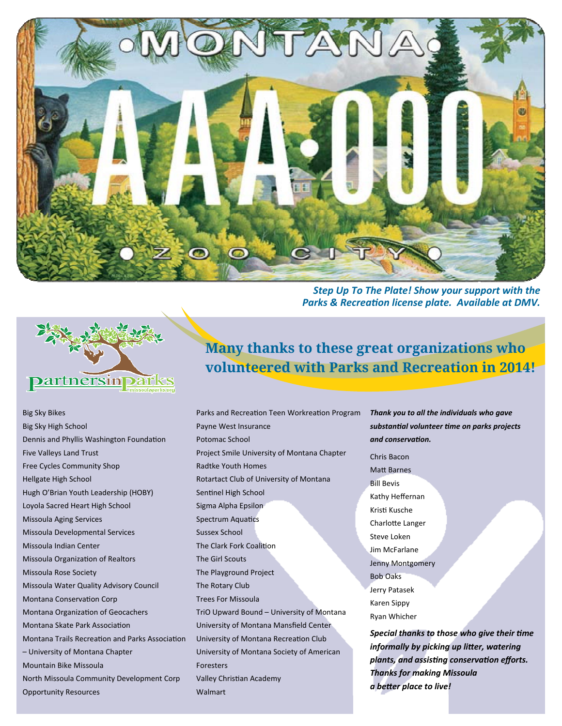

<u> Partnersin Darks</u>

**Many thanks to these great organizations who volunteered with Parks and Recreation in 2014!** 

Big Sky Bikes Big Sky High School Dennis and Phyllis Washington Foundation Five Valleys Land Trust Free Cycles Community Shop Hellgate High School Hugh O'Brian Youth Leadership (HOBY) Loyola Sacred Heart High School Missoula Aging Services Missoula Developmental Services Missoula Indian Center Missoula Organization of Realtors Missoula Rose Society Missoula Water Quality Advisory Council Montana Conservation Corp Montana Organization of Geocachers Montana Skate Park Association Montana Trails Recreation and Parks Association – University of Montana Chapter Mountain Bike Missoula North Missoula Community Development Corp Opportunity Resources

Payne West Insurance Potomac School Project Smile University of Montana Chapter Radtke Youth Homes Rotartact Club of University of Montana Sentinel High School Sigma Alpha Epsilon Spectrum Aquatics Sussex School The Clark Fork Coalition The Girl Scouts The Playground Project The Rotary Club Trees For Missoula TriO Upward Bound – University of Montana University of Montana Mansfield Center University of Montana Recreation Club University of Montana Society of American Foresters Valley Christian Academy Walmart

Parks and Recreation Teen Workreation Program Thank you to all the individuals who gave *substanƟal volunteer Ɵme on parks projects and conservaƟon.* 

**Parks & Recreation license plate. Available at DMV.** 

Chris Bacon **Matt Barnes** Bill Bevis Kathy Heffernan KrisƟ Kusche Charlotte Langer Steve Loken Jim McFarlane Jenny Montgomery Bob Oaks Jerry Patasek Karen Sippy Ryan Whicher

*Special thanks to those who give their Ɵme informally by picking up liƩer, watering plants, and assisƟng conservaƟon efforts. Thanks for making Missoula a beƩer place to live!*